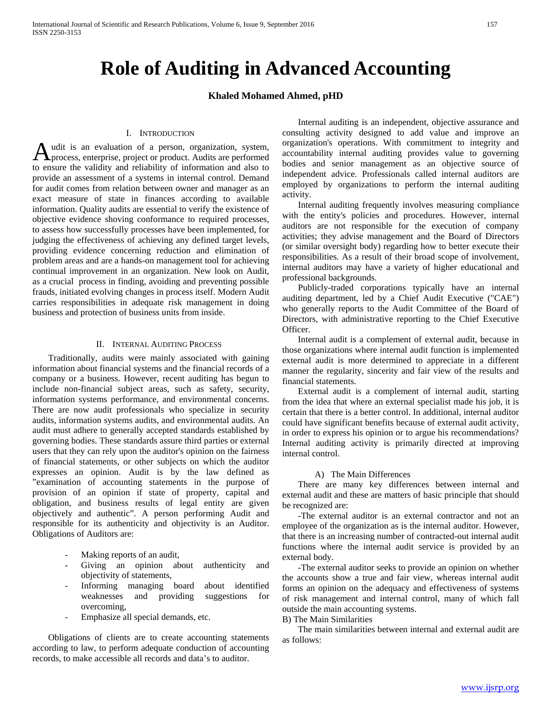# **Role of Auditing in Advanced Accounting**

# **Khaled Mohamed Ahmed, pHD**

## I. INTRODUCTION

udit is an evaluation of a person, organization, system, A udit is an evaluation of a person, organization, system,<br>process, enterprise, project or product. Audits are performed to ensure the validity and reliability of information and also to provide an assessment of a systems in internal control. Demand for audit comes from relation between owner and manager as an exact measure of state in finances according to available information. Quality audits are essential to verify the existence of objective evidence shoving conformance to required processes, to assess how successfully processes have been implemented, for judging the effectiveness of achieving any defined target levels, providing evidence concerning reduction and elimination of problem areas and are a hands-on management tool for achieving continual improvement in an organization. New look on Audit, as a crucial process in finding, avoiding and preventing possible frauds, initiated evolving changes in process itself. Modern Audit carries responsibilities in adequate risk management in doing business and protection of business units from inside.

#### II. INTERNAL AUDITING PROCESS

 Traditionally, audits were mainly associated with gaining information about financial systems and the financial records of a company or a business. However, recent auditing has begun to include non-financial subject areas, such as safety, security, information systems performance, and environmental concerns. There are now audit professionals who specialize in security audits, information systems audits, and environmental audits. An audit must adhere to generally accepted standards established by governing bodies. These standards assure third parties or external users that they can rely upon the auditor's opinion on the fairness of financial statements, or other subjects on which the auditor expresses an opinion. Audit is by the law defined as "examination of accounting statements in the purpose of provision of an opinion if state of property, capital and obligation, and business results of legal entity are given objectively and authentic". A person performing Audit and responsible for its authenticity and objectivity is an Auditor. Obligations of Auditors are:

- Making reports of an audit,
- Giving an opinion about authenticity and objectivity of statements,
- Informing managing board about identified weaknesses and providing suggestions for overcoming,
- Emphasize all special demands, etc.

 Obligations of clients are to create accounting statements according to law, to perform adequate conduction of accounting records, to make accessible all records and data's to auditor.

 Internal auditing is an independent, objective assurance and consulting activity designed to add value and improve an organization's operations. With commitment to integrity and accountability internal auditing provides value to governing bodies and senior management as an objective source of independent advice. Professionals called internal auditors are employed by organizations to perform the internal auditing activity.

 Internal auditing frequently involves measuring compliance with the entity's policies and procedures. However, internal auditors are not responsible for the execution of company activities; they advise management and the Board of Directors (or similar oversight body) regarding how to better execute their responsibilities. As a result of their broad scope of involvement, internal auditors may have a variety of higher educational and professional backgrounds.

 Publicly-traded corporations typically have an internal auditing department, led by a Chief Audit Executive ("CAE") who generally reports to the Audit Committee of the Board of Directors, with administrative reporting to the Chief Executive Officer.

 Internal audit is a complement of external audit, because in those organizations where internal audit function is implemented external audit is more determined to appreciate in a different manner the regularity, sincerity and fair view of the results and financial statements.

 External audit is a complement of internal audit, starting from the idea that where an external specialist made his job, it is certain that there is a better control. In additional, internal auditor could have significant benefits because of external audit activity, in order to express his opinion or to argue his recommendations? Internal auditing activity is primarily directed at improving internal control.

## A) The Main Differences

 There are many key differences between internal and external audit and these are matters of basic principle that should be recognized are:

 -The external auditor is an external contractor and not an employee of the organization as is the internal auditor. However, that there is an increasing number of contracted-out internal audit functions where the internal audit service is provided by an external body.

 -The external auditor seeks to provide an opinion on whether the accounts show a true and fair view, whereas internal audit forms an opinion on the adequacy and effectiveness of systems of risk management and internal control, many of which fall outside the main accounting systems.

B) The Main Similarities

 The main similarities between internal and external audit are as follows: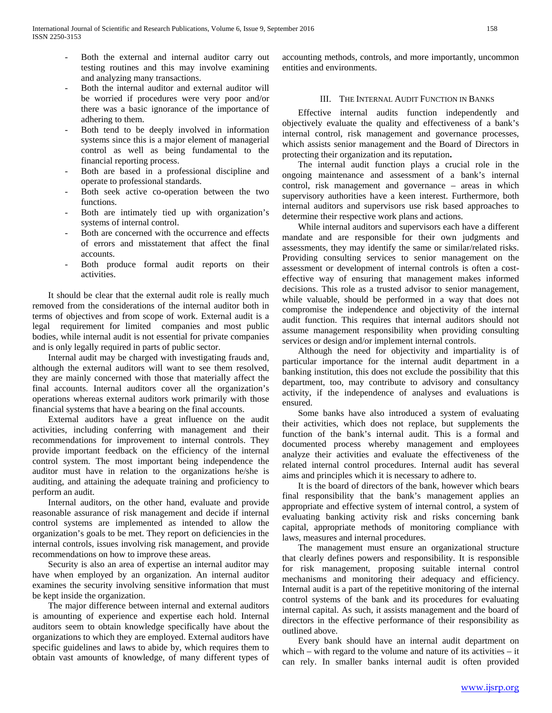- Both the external and internal auditor carry out testing routines and this may involve examining and analyzing many transactions.
- Both the internal auditor and external auditor will be worried if procedures were very poor and/or there was a basic ignorance of the importance of adhering to them.
- Both tend to be deeply involved in information systems since this is a major element of managerial control as well as being fundamental to the financial reporting process.
- Both are based in a professional discipline and operate to professional standards.
- Both seek active co-operation between the two functions.
- Both are intimately tied up with organization's systems of internal control.
- Both are concerned with the occurrence and effects of errors and misstatement that affect the final accounts.
- Both produce formal audit reports on their activities.

 It should be clear that the external audit role is really much removed from the considerations of the internal auditor both in terms of objectives and from scope of work. External audit is a legal requirement for limited companies and most public bodies, while internal audit is not essential for private companies and is only legally required in parts of public sector.

 Internal audit may be charged with investigating frauds and, although the external auditors will want to see them resolved, they are mainly concerned with those that materially affect the final accounts. Internal auditors cover all the organization's operations whereas external auditors work primarily with those financial systems that have a bearing on the final accounts.

 External auditors have a great influence on the audit activities, including conferring with management and their recommendations for improvement to internal controls. They provide important feedback on the efficiency of the internal control system. The most important being independence the auditor must have in relation to the organizations he/she is auditing, and attaining the adequate training and proficiency to perform an audit.

 Internal auditors, on the other hand, evaluate and provide reasonable assurance of risk management and decide if internal control systems are implemented as intended to allow the organization's goals to be met. They report on deficiencies in the internal controls, issues involving risk management, and provide recommendations on how to improve these areas.

 Security is also an area of expertise an internal auditor may have when employed by an organization. An internal auditor examines the security involving sensitive information that must be kept inside the organization.

 The major difference between internal and external auditors is amounting of experience and expertise each hold. Internal auditors seem to obtain knowledge specifically have about the organizations to which they are employed. External auditors have specific guidelines and laws to abide by, which requires them to obtain vast amounts of knowledge, of many different types of accounting methods, controls, and more importantly, uncommon entities and environments.

# III. THE INTERNAL AUDIT FUNCTION IN BANKS

 Effective internal audits function independently and objectively evaluate the quality and effectiveness of a bank's internal control, risk management and governance processes, which assists senior management and the Board of Directors in protecting their organization and its reputation**.**

 The internal audit function plays a crucial role in the ongoing maintenance and assessment of a bank's internal control, risk management and governance – areas in which supervisory authorities have a keen interest. Furthermore, both internal auditors and supervisors use risk based approaches to determine their respective work plans and actions.

 While internal auditors and supervisors each have a different mandate and are responsible for their own judgments and assessments, they may identify the same or similar/related risks. Providing consulting services to senior management on the assessment or development of internal controls is often a costeffective way of ensuring that management makes informed decisions. This role as a trusted advisor to senior management, while valuable, should be performed in a way that does not compromise the independence and objectivity of the internal audit function. This requires that internal auditors should not assume management responsibility when providing consulting services or design and/or implement internal controls.

 Although the need for objectivity and impartiality is of particular importance for the internal audit department in a banking institution, this does not exclude the possibility that this department, too, may contribute to advisory and consultancy activity, if the independence of analyses and evaluations is ensured.

 Some banks have also introduced a system of evaluating their activities, which does not replace, but supplements the function of the bank's internal audit. This is a formal and documented process whereby management and employees analyze their activities and evaluate the effectiveness of the related internal control procedures. Internal audit has several aims and principles which it is necessary to adhere to.

 It is the board of directors of the bank, however which bears final responsibility that the bank's management applies an appropriate and effective system of internal control, a system of evaluating banking activity risk and risks concerning bank capital, appropriate methods of monitoring compliance with laws, measures and internal procedures.

 The management must ensure an organizational structure that clearly defines powers and responsibility. It is responsible for risk management, proposing suitable internal control mechanisms and monitoring their adequacy and efficiency. Internal audit is a part of the repetitive monitoring of the internal control systems of the bank and its procedures for evaluating internal capital. As such, it assists management and the board of directors in the effective performance of their responsibility as outlined above.

 Every bank should have an internal audit department on which – with regard to the volume and nature of its activities – it can rely. In smaller banks internal audit is often provided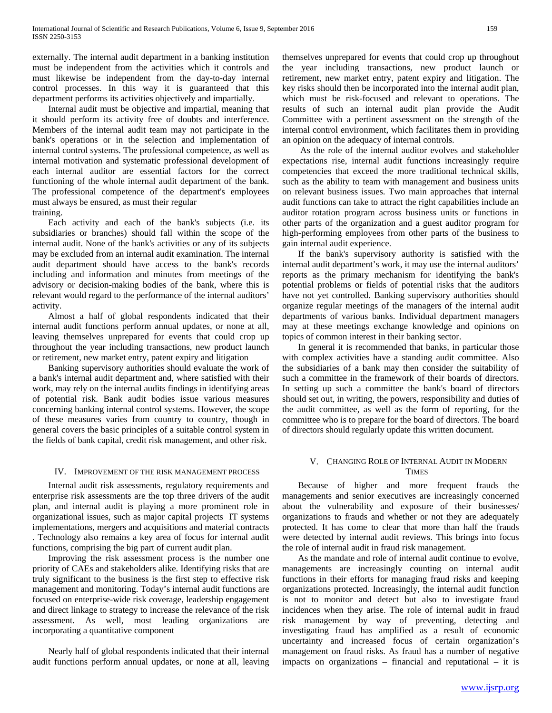externally. The internal audit department in a banking institution must be independent from the activities which it controls and must likewise be independent from the day-to-day internal control processes. In this way it is guaranteed that this department performs its activities objectively and impartially.

 Internal audit must be objective and impartial, meaning that it should perform its activity free of doubts and interference. Members of the internal audit team may not participate in the bank's operations or in the selection and implementation of internal control systems. The professional competence, as well as internal motivation and systematic professional development of each internal auditor are essential factors for the correct functioning of the whole internal audit department of the bank. The professional competence of the department's employees must always be ensured, as must their regular training.

 Each activity and each of the bank's subjects (i.e. its subsidiaries or branches) should fall within the scope of the internal audit. None of the bank's activities or any of its subjects may be excluded from an internal audit examination. The internal audit department should have access to the bank's records including and information and minutes from meetings of the advisory or decision-making bodies of the bank, where this is relevant would regard to the performance of the internal auditors' activity.

 Almost a half of global respondents indicated that their internal audit functions perform annual updates, or none at all, leaving themselves unprepared for events that could crop up throughout the year including transactions, new product launch or retirement, new market entry, patent expiry and litigation

 Banking supervisory authorities should evaluate the work of a bank's internal audit department and, where satisfied with their work, may rely on the internal audits findings in identifying areas of potential risk. Bank audit bodies issue various measures concerning banking internal control systems. However, the scope of these measures varies from country to country, though in general covers the basic principles of a suitable control system in the fields of bank capital, credit risk management, and other risk.

IV. IMPROVEMENT OF THE RISK MANAGEMENT PROCESS

 Internal audit risk assessments, regulatory requirements and enterprise risk assessments are the top three drivers of the audit plan, and internal audit is playing a more prominent role in organizational issues, such as major capital projects IT systems implementations, mergers and acquisitions and material contracts . Technology also remains a key area of focus for internal audit functions, comprising the big part of current audit plan.

 Improving the risk assessment process is the number one priority of CAEs and stakeholders alike. Identifying risks that are truly significant to the business is the first step to effective risk management and monitoring. Today's internal audit functions are focused on enterprise-wide risk coverage, leadership engagement and direct linkage to strategy to increase the relevance of the risk assessment. As well, most leading organizations are incorporating a quantitative component

 Nearly half of global respondents indicated that their internal audit functions perform annual updates, or none at all, leaving themselves unprepared for events that could crop up throughout the year including transactions, new product launch or retirement, new market entry, patent expiry and litigation. The key risks should then be incorporated into the internal audit plan, which must be risk-focused and relevant to operations. The results of such an internal audit plan provide the Audit Committee with a pertinent assessment on the strength of the internal control environment, which facilitates them in providing an opinion on the adequacy of internal controls.

 As the role of the internal auditor evolves and stakeholder expectations rise, internal audit functions increasingly require competencies that exceed the more traditional technical skills, such as the ability to team with management and business units on relevant business issues. Two main approaches that internal audit functions can take to attract the right capabilities include an auditor rotation program across business units or functions in other parts of the organization and a guest auditor program for high-performing employees from other parts of the business to gain internal audit experience.

 If the bank's supervisory authority is satisfied with the internal audit department's work, it may use the internal auditors' reports as the primary mechanism for identifying the bank's potential problems or fields of potential risks that the auditors have not yet controlled. Banking supervisory authorities should organize regular meetings of the managers of the internal audit departments of various banks. Individual department managers may at these meetings exchange knowledge and opinions on topics of common interest in their banking sector.

 In general it is recommended that banks, in particular those with complex activities have a standing audit committee. Also the subsidiaries of a bank may then consider the suitability of such a committee in the framework of their boards of directors. In setting up such a committee the bank's board of directors should set out, in writing, the powers, responsibility and duties of the audit committee, as well as the form of reporting, for the committee who is to prepare for the board of directors. The board of directors should regularly update this written document.

# V. CHANGING ROLE OF INTERNAL AUDIT IN MODERN TIMES

 Because of higher and more frequent frauds the managements and senior executives are increasingly concerned about the vulnerability and exposure of their businesses/ organizations to frauds and whether or not they are adequately protected. It has come to clear that more than half the frauds were detected by internal audit reviews. This brings into focus the role of internal audit in fraud risk management.

 As the mandate and role of internal audit continue to evolve, managements are increasingly counting on internal audit functions in their efforts for managing fraud risks and keeping organizations protected. Increasingly, the internal audit function is not to monitor and detect but also to investigate fraud incidences when they arise. The role of internal audit in fraud risk management by way of preventing, detecting and investigating fraud has amplified as a result of economic uncertainty and increased focus of certain organization's management on fraud risks. As fraud has a number of negative impacts on organizations – financial and reputational – it is